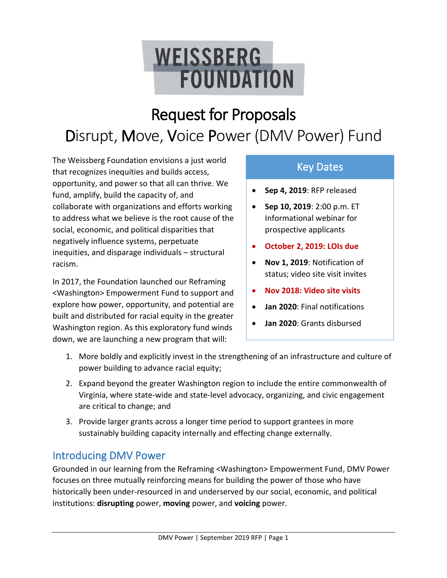# **WEISSBERG FOUNDATION**

## Request for Proposals Disrupt, Move, Voice Power (DMV Power) Fund

The Weissberg Foundation envisions a just world that recognizes inequities and builds access, opportunity, and power so that all can thrive. We fund, amplify, build the capacity of, and collaborate with organizations and efforts working to address what we believe is the root cause of the social, economic, and political disparities that negatively influence systems, perpetuate inequities, and disparage individuals – structural racism.

In 2017, the Foundation launched our Reframing <Washington> Empowerment Fund to support and explore how power, opportunity, and potential are built and distributed for racial equity in the greater Washington region. As this exploratory fund winds down, we are launching a new program that will:

## Key Dates

- **Sep 4, 2019**: RFP released
- **Sep 10, 2019**: 2:00 p.m. ET Informational webinar for prospective applicants
- **October 2, 2019: LOIs due**
- **Nov 1, 2019**: Notification of status; video site visit invites
- **Nov 2018: Video site visits**
- **Jan 2020**: Final notifications
- **Jan 2020**: Grants disbursed
- 1. More boldly and explicitly invest in the strengthening of an infrastructure and culture of power building to advance racial equity;
- 2. Expand beyond the greater Washington region to include the entire commonwealth of Virginia, where state-wide and state-level advocacy, organizing, and civic engagement are critical to change; and
- 3. Provide larger grants across a longer time period to support grantees in more sustainably building capacity internally and effecting change externally.

## Introducing DMV Power

Grounded in our learning from the Reframing <Washington> Empowerment Fund, DMV Power focuses on three mutually reinforcing means for building the power of those who have historically been under-resourced in and underserved by our social, economic, and political institutions: **disrupting** power, **moving** power, and **voicing** power.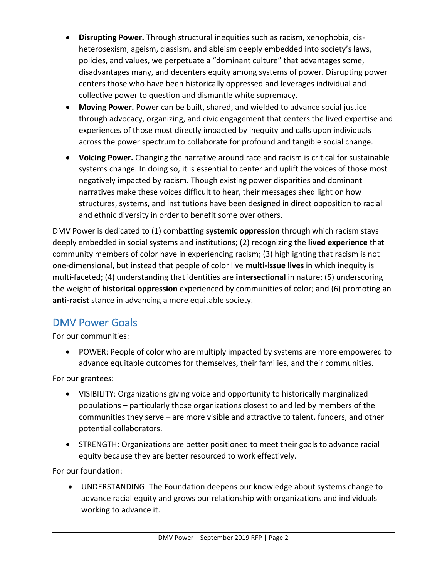- **Disrupting Power.** Through structural inequities such as racism, xenophobia, cisheterosexism, ageism, classism, and ableism deeply embedded into society's laws, policies, and values, we perpetuate a "dominant culture" that advantages some, disadvantages many, and decenters equity among systems of power. Disrupting power centers those who have been historically oppressed and leverages individual and collective power to question and dismantle white supremacy.
- **Moving Power.** Power can be built, shared, and wielded to advance social justice through advocacy, organizing, and civic engagement that centers the lived expertise and experiences of those most directly impacted by inequity and calls upon individuals across the power spectrum to collaborate for profound and tangible social change.
- **Voicing Power.** Changing the narrative around race and racism is critical for sustainable systems change. In doing so, it is essential to center and uplift the voices of those most negatively impacted by racism. Though existing power disparities and dominant narratives make these voices difficult to hear, their messages shed light on how structures, systems, and institutions have been designed in direct opposition to racial and ethnic diversity in order to benefit some over others.

DMV Power is dedicated to (1) combatting **systemic oppression** through which racism stays deeply embedded in social systems and institutions; (2) recognizing the **lived experience** that community members of color have in experiencing racism; (3) highlighting that racism is not one-dimensional, but instead that people of color live **multi-issue lives** in which inequity is multi-faceted; (4) understanding that identities are **intersectional** in nature; (5) underscoring the weight of **historical oppression** experienced by communities of color; and (6) promoting an **anti-racist** stance in advancing a more equitable society.

### DMV Power Goals

For our communities:

• POWER: People of color who are multiply impacted by systems are more empowered to advance equitable outcomes for themselves, their families, and their communities.

For our grantees:

- VISIBILITY: Organizations giving voice and opportunity to historically marginalized populations – particularly those organizations closest to and led by members of the communities they serve – are more visible and attractive to talent, funders, and other potential collaborators.
- STRENGTH: Organizations are better positioned to meet their goals to advance racial equity because they are better resourced to work effectively.

For our foundation:

• UNDERSTANDING: The Foundation deepens our knowledge about systems change to advance racial equity and grows our relationship with organizations and individuals working to advance it.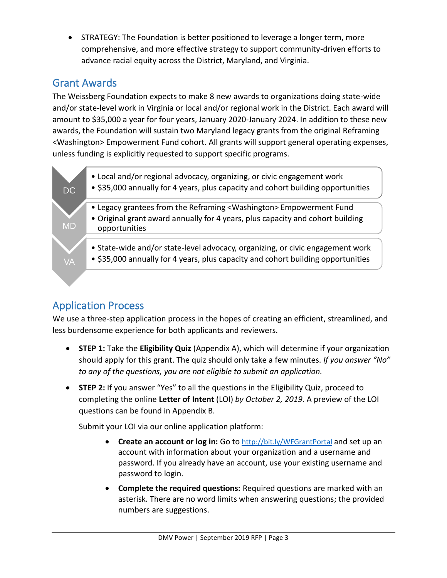• STRATEGY: The Foundation is better positioned to leverage a longer term, more comprehensive, and more effective strategy to support community-driven efforts to advance racial equity across the District, Maryland, and Virginia.

### Grant Awards

The Weissberg Foundation expects to make 8 new awards to organizations doing state-wide and/or state-level work in Virginia or local and/or regional work in the District. Each award will amount to \$35,000 a year for four years, January 2020-January 2024. In addition to these new awards, the Foundation will sustain two Maryland legacy grants from the original Reframing <Washington> Empowerment Fund cohort. All grants will support general operating expenses, unless funding is explicitly requested to support specific programs.



## Application Process

We use a three-step application process in the hopes of creating an efficient, streamlined, and less burdensome experience for both applicants and reviewers.

- **STEP 1:** Take the **Eligibility Quiz** (Appendix A), which will determine if your organization should apply for this grant. The quiz should only take a few minutes. *If you answer "No" to any of the questions, you are not eligible to submit an application.*
- **STEP 2:** If you answer "Yes" to all the questions in the Eligibility Quiz, proceed to completing the online **Letter of Intent** (LOI) *by October 2, 2019*. A preview of the LOI questions can be found in Appendix B.

Submit your LOI via our online application platform:

- **Create an account or log in:** Go to <http://bit.ly/WFGrantPortal> and set up an account with information about your organization and a username and password. If you already have an account, use your existing username and password to login.
- **Complete the required questions:** Required questions are marked with an asterisk. There are no word limits when answering questions; the provided numbers are suggestions.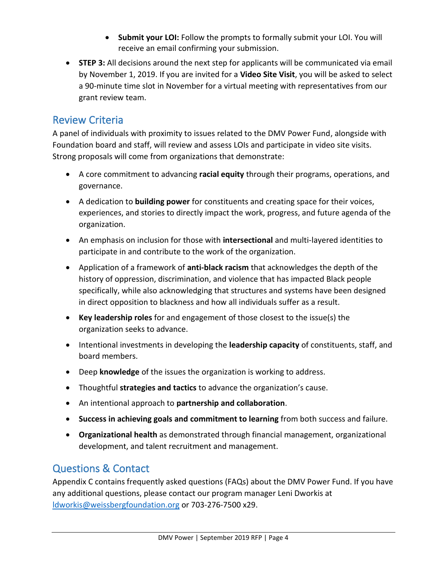- **Submit your LOI:** Follow the prompts to formally submit your LOI. You will receive an email confirming your submission.
- **STEP 3:** All decisions around the next step for applicants will be communicated via email by November 1, 2019. If you are invited for a **Video Site Visit**, you will be asked to select a 90-minute time slot in November for a virtual meeting with representatives from our grant review team.

### Review Criteria

A panel of individuals with proximity to issues related to the DMV Power Fund, alongside with Foundation board and staff, will review and assess LOIs and participate in video site visits. Strong proposals will come from organizations that demonstrate:

- A core commitment to advancing **racial equity** through their programs, operations, and governance.
- A dedication to **building power** for constituents and creating space for their voices, experiences, and stories to directly impact the work, progress, and future agenda of the organization.
- An emphasis on inclusion for those with **intersectional** and multi-layered identities to participate in and contribute to the work of the organization.
- Application of a framework of **anti-black racism** that acknowledges the depth of the history of oppression, discrimination, and violence that has impacted Black people specifically, while also acknowledging that structures and systems have been designed in direct opposition to blackness and how all individuals suffer as a result.
- **Key leadership roles** for and engagement of those closest to the issue(s) the organization seeks to advance.
- Intentional investments in developing the **leadership capacity** of constituents, staff, and board members.
- Deep **knowledge** of the issues the organization is working to address.
- Thoughtful **strategies and tactics** to advance the organization's cause.
- An intentional approach to **partnership and collaboration**.
- **Success in achieving goals and commitment to learning** from both success and failure.
- **Organizational health** as demonstrated through financial management, organizational development, and talent recruitment and management.

## Questions & Contact

Appendix C contains frequently asked questions (FAQs) about the DMV Power Fund. If you have any additional questions, please contact our program manager Leni Dworkis at [ldworkis@weissbergfoundation.org](mailto:ldworkis@weissbergfoundation.org) or 703-276-7500 x29.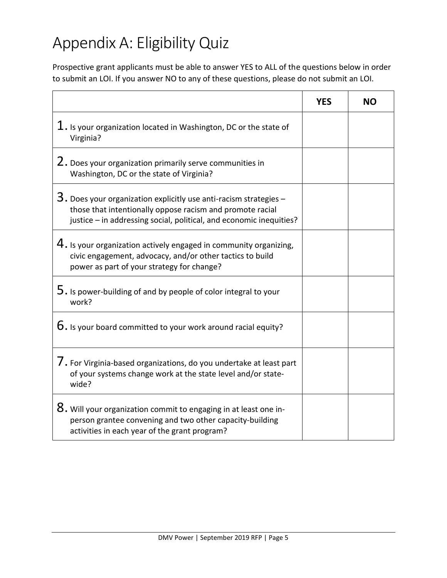## Appendix A: Eligibility Quiz

Prospective grant applicants must be able to answer YES to ALL of the questions below in order to submit an LOI. If you answer NO to any of these questions, please do not submit an LOI.

|                                                                                                                                                                                                           | <b>YES</b> | <b>NO</b> |
|-----------------------------------------------------------------------------------------------------------------------------------------------------------------------------------------------------------|------------|-----------|
| $1.$ Is your organization located in Washington, DC or the state of<br>Virginia?                                                                                                                          |            |           |
| 2. Does your organization primarily serve communities in<br>Washington, DC or the state of Virginia?                                                                                                      |            |           |
| $3.$ Does your organization explicitly use anti-racism strategies $-$<br>those that intentionally oppose racism and promote racial<br>justice - in addressing social, political, and economic inequities? |            |           |
| $4.$ Is your organization actively engaged in community organizing,<br>civic engagement, advocacy, and/or other tactics to build<br>power as part of your strategy for change?                            |            |           |
| $5.$ Is power-building of and by people of color integral to your<br>work?                                                                                                                                |            |           |
| $6.$ Is your board committed to your work around racial equity?                                                                                                                                           |            |           |
| 7. For Virginia-based organizations, do you undertake at least part<br>of your systems change work at the state level and/or state-<br>wide?                                                              |            |           |
| $8.$ Will your organization commit to engaging in at least one in-<br>person grantee convening and two other capacity-building<br>activities in each year of the grant program?                           |            |           |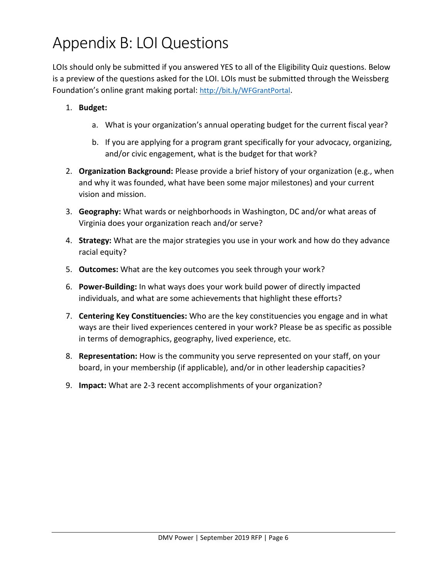## Appendix B: LOI Questions

LOIs should only be submitted if you answered YES to all of the Eligibility Quiz questions. Below is a preview of the questions asked for the LOI. LOIs must be submitted through the Weissberg Foundation's online grant making portal: <http://bit.ly/WFGrantPortal>.

- 1. **Budget:** 
	- a. What is your organization's annual operating budget for the current fiscal year?
	- b. If you are applying for a program grant specifically for your advocacy, organizing, and/or civic engagement, what is the budget for that work?
- 2. **Organization Background:** Please provide a brief history of your organization (e.g., when and why it was founded, what have been some major milestones) and your current vision and mission.
- 3. **Geography:** What wards or neighborhoods in Washington, DC and/or what areas of Virginia does your organization reach and/or serve?
- 4. **Strategy:** What are the major strategies you use in your work and how do they advance racial equity?
- 5. **Outcomes:** What are the key outcomes you seek through your work?
- 6. **Power-Building:** In what ways does your work build power of directly impacted individuals, and what are some achievements that highlight these efforts?
- 7. **Centering Key Constituencies:** Who are the key constituencies you engage and in what ways are their lived experiences centered in your work? Please be as specific as possible in terms of demographics, geography, lived experience, etc.
- 8. **Representation:** How is the community you serve represented on your staff, on your board, in your membership (if applicable), and/or in other leadership capacities?
- 9. **Impact:** What are 2-3 recent accomplishments of your organization?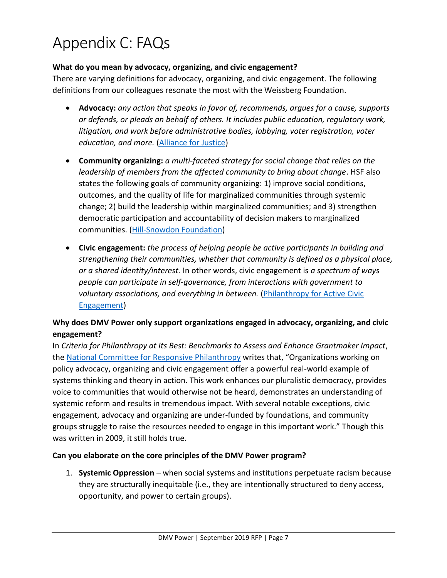## Appendix C: FAQs

#### **What do you mean by advocacy, organizing, and civic engagement?**

There are varying definitions for advocacy, organizing, and civic engagement. The following definitions from our colleagues resonate the most with the Weissberg Foundation.

- **Advocacy:** *any action that speaks in favor of, recommends, argues for a cause, supports or defends, or pleads on behalf of others. It includes public education, regulatory work, litigation, and work before administrative bodies, lobbying, voter registration, voter education, and more.* [\(Alliance for Justice\)](https://www.afj.org/)
- **Community organizing:** *a multi-faceted strategy for social change that relies on the leadership of members from the affected community to bring about change*. HSF also states the following goals of community organizing: 1) improve social conditions, outcomes, and the quality of life for marginalized communities through systemic change; 2) build the leadership within marginalized communities; and 3) strengthen democratic participation and accountability of decision makers to marginalized communities. [\(Hill-Snowdon Foundation\)](http://hillsnowdon.org/)
- **Civic engagement:** *the process of helping people be active participants in building and strengthening their communities, whether that community is defined as a physical place, or a shared identity/interest.* In other words, civic engagement is *a spectrum of ways people can participate in self-governance, from interactions with government to voluntary associations, and everything in between.* [\(Philanthropy for Active Civic](http://www.pacefunders.org/)  [Engagement\)](http://www.pacefunders.org/)

#### **Why does DMV Power only support organizations engaged in advocacy, organizing, and civic engagement?**

In *Criteria for Philanthropy at Its Best: Benchmarks to Assess and Enhance Grantmaker Impact*, the [National Committee for Responsive Philanthropy](https://www.ncrp.org/) writes that, "Organizations working on policy advocacy, organizing and civic engagement offer a powerful real-world example of systems thinking and theory in action. This work enhances our pluralistic democracy, provides voice to communities that would otherwise not be heard, demonstrates an understanding of systemic reform and results in tremendous impact. With several notable exceptions, civic engagement, advocacy and organizing are under-funded by foundations, and community groups struggle to raise the resources needed to engage in this important work." Though this was written in 2009, it still holds true.

#### **Can you elaborate on the core principles of the DMV Power program?**

1. **Systemic Oppression** – when social systems and institutions perpetuate racism because they are structurally inequitable (i.e., they are intentionally structured to deny access, opportunity, and power to certain groups).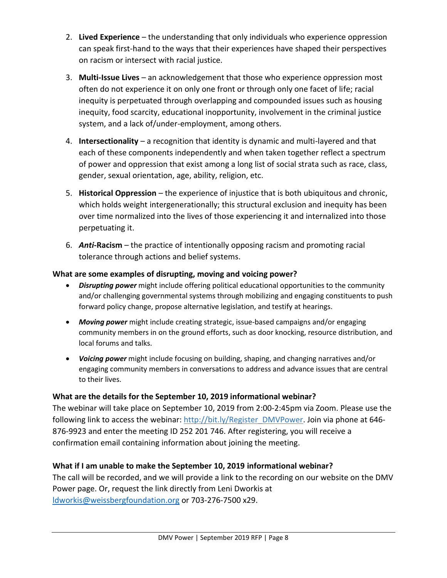- 2. **Lived Experience** the understanding that only individuals who experience oppression can speak first-hand to the ways that their experiences have shaped their perspectives on racism or intersect with racial justice.
- 3. **Multi-Issue Lives**  an acknowledgement that those who experience oppression most often do not experience it on only one front or through only one facet of life; racial inequity is perpetuated through overlapping and compounded issues such as housing inequity, food scarcity, educational inopportunity, involvement in the criminal justice system, and a lack of/under-employment, among others.
- 4. **Intersectionality** a recognition that identity is dynamic and multi-layered and that each of these components independently and when taken together reflect a spectrum of power and oppression that exist among a long list of social strata such as race, class, gender, sexual orientation, age, ability, religion, etc.
- 5. **Historical Oppression** the experience of injustice that is both ubiquitous and chronic, which holds weight intergenerationally; this structural exclusion and inequity has been over time normalized into the lives of those experiencing it and internalized into those perpetuating it.
- 6. *Anti***-Racism** the practice of intentionally opposing racism and promoting racial tolerance through actions and belief systems.

#### **What are some examples of disrupting, moving and voicing power?**

- *Disrupting power* might include offering political educational opportunities to the community and/or challenging governmental systems through mobilizing and engaging constituents to push forward policy change, propose alternative legislation, and testify at hearings.
- *Moving power* might include creating strategic, issue-based campaigns and/or engaging community members in on the ground efforts, such as door knocking, resource distribution, and local forums and talks.
- *Voicing power* might include focusing on building, shaping, and changing narratives and/or engaging community members in conversations to address and advance issues that are central to their lives.

#### **What are the details for the September 10, 2019 informational webinar?**

The webinar will take place on September 10, 2019 from 2:00-2:45pm via Zoom. Please use the following link to access the webinar[: http://bit.ly/Register\\_DMVPower.](http://bit.ly/Register_DMVPower) Join via phone at 646-876-9923 and enter the meeting ID 252 201 746. After registering, you will receive a confirmation email containing information about joining the meeting.

#### **What if I am unable to make the September 10, 2019 informational webinar?**

The call will be recorded, and we will provide a link to the recording on our website on the DMV Power page. Or, request the link directly from Leni Dworkis at [ldworkis@weissbergfoundation.org](mailto:ldworkis@weissbergfoundation.org) or 703-276-7500 x29.